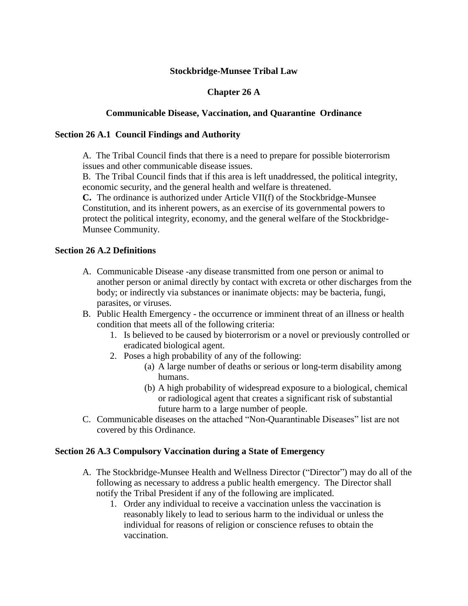### **Stockbridge-Munsee Tribal Law**

# **Chapter 26 A**

### **Communicable Disease, Vaccination, and Quarantine Ordinance**

### **Section 26 A.1 Council Findings and Authority**

A. The Tribal Council finds that there is a need to prepare for possible bioterrorism issues and other communicable disease issues.

B. The Tribal Council finds that if this area is left unaddressed, the political integrity, economic security, and the general health and welfare is threatened.

**C.** The ordinance is authorized under Article VII(f) of the Stockbridge-Munsee Constitution, and its inherent powers, as an exercise of its governmental powers to protect the political integrity, economy, and the general welfare of the Stockbridge-Munsee Community.

# **Section 26 A.2 Definitions**

- A. Communicable Disease -any disease transmitted from one person or animal to another person or animal directly by contact with excreta or other discharges from the body; or indirectly via substances or inanimate objects: may be bacteria, fungi, parasites, or viruses.
- B. Public Health Emergency the occurrence or imminent threat of an illness or health condition that meets all of the following criteria:
	- 1. Is believed to be caused by bioterrorism or a novel or previously controlled or eradicated biological agent.
	- 2. Poses a high probability of any of the following:
		- (a) A large number of deaths or serious or long-term disability among humans.
		- (b) A high probability of widespread exposure to a biological, chemical or radiological agent that creates a significant risk of substantial future harm to a large number of people.
- C. Communicable diseases on the attached "Non-Quarantinable Diseases" list are not covered by this Ordinance.

### **Section 26 A.3 Compulsory Vaccination during a State of Emergency**

- A. The Stockbridge-Munsee Health and Wellness Director ("Director") may do all of the following as necessary to address a public health emergency. The Director shall notify the Tribal President if any of the following are implicated.
	- 1. Order any individual to receive a vaccination unless the vaccination is reasonably likely to lead to serious harm to the individual or unless the individual for reasons of religion or conscience refuses to obtain the vaccination.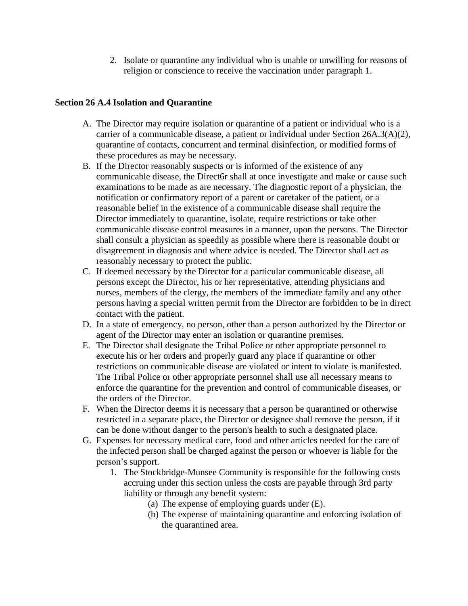2. Isolate or quarantine any individual who is unable or unwilling for reasons of religion or conscience to receive the vaccination under paragraph 1.

# **Section 26 A.4 Isolation and Quarantine**

- A. The Director may require isolation or quarantine of a patient or individual who is a carrier of a communicable disease, a patient or individual under Section 26A.3(A)(2), quarantine of contacts, concurrent and terminal disinfection, or modified forms of these procedures as may be necessary.
- B. If the Director reasonably suspects or is informed of the existence of any communicable disease, the Direct6r shall at once investigate and make or cause such examinations to be made as are necessary. The diagnostic report of a physician, the notification or confirmatory report of a parent or caretaker of the patient, or a reasonable belief in the existence of a communicable disease shall require the Director immediately to quarantine, isolate, require restrictions or take other communicable disease control measures in a manner, upon the persons. The Director shall consult a physician as speedily as possible where there is reasonable doubt or disagreement in diagnosis and where advice is needed. The Director shall act as reasonably necessary to protect the public.
- C. If deemed necessary by the Director for a particular communicable disease, all persons except the Director, his or her representative, attending physicians and nurses, members of the clergy, the members of the immediate family and any other persons having a special written permit from the Director are forbidden to be in direct contact with the patient.
- D. In a state of emergency, no person, other than a person authorized by the Director or agent of the Director may enter an isolation or quarantine premises.
- E. The Director shall designate the Tribal Police or other appropriate personnel to execute his or her orders and properly guard any place if quarantine or other restrictions on communicable disease are violated or intent to violate is manifested. The Tribal Police or other appropriate personnel shall use all necessary means to enforce the quarantine for the prevention and control of communicable diseases, or the orders of the Director.
- F. When the Director deems it is necessary that a person be quarantined or otherwise restricted in a separate place, the Director or designee shall remove the person, if it can be done without danger to the person's health to such a designated place.
- G. Expenses for necessary medical care, food and other articles needed for the care of the infected person shall be charged against the person or whoever is liable for the person's support.
	- 1. The Stockbridge-Munsee Community is responsible for the following costs accruing under this section unless the costs are payable through 3rd party liability or through any benefit system:
		- (a) The expense of employing guards under (E).
		- (b) The expense of maintaining quarantine and enforcing isolation of the quarantined area.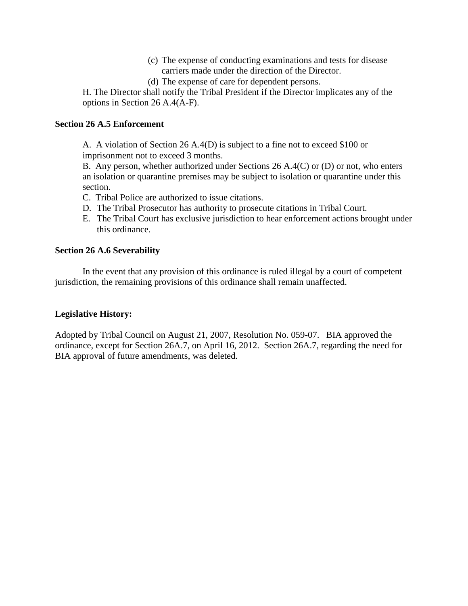- (c) The expense of conducting examinations and tests for disease carriers made under the direction of the Director.
- (d) The expense of care for dependent persons.

H. The Director shall notify the Tribal President if the Director implicates any of the options in Section 26 A.4(A-F).

### **Section 26 A.5 Enforcement**

A. A violation of Section 26 A.4(D) is subject to a fine not to exceed \$100 or imprisonment not to exceed 3 months.

B. Any person, whether authorized under Sections 26 A.4(C) or (D) or not, who enters an isolation or quarantine premises may be subject to isolation or quarantine under this section.

- C. Tribal Police are authorized to issue citations.
- D. The Tribal Prosecutor has authority to prosecute citations in Tribal Court.
- E. The Tribal Court has exclusive jurisdiction to hear enforcement actions brought under this ordinance.

## **Section 26 A.6 Severability**

In the event that any provision of this ordinance is ruled illegal by a court of competent jurisdiction, the remaining provisions of this ordinance shall remain unaffected.

### **Legislative History:**

Adopted by Tribal Council on August 21, 2007, Resolution No. 059-07. BIA approved the ordinance, except for Section 26A.7, on April 16, 2012. Section 26A.7, regarding the need for BIA approval of future amendments, was deleted.